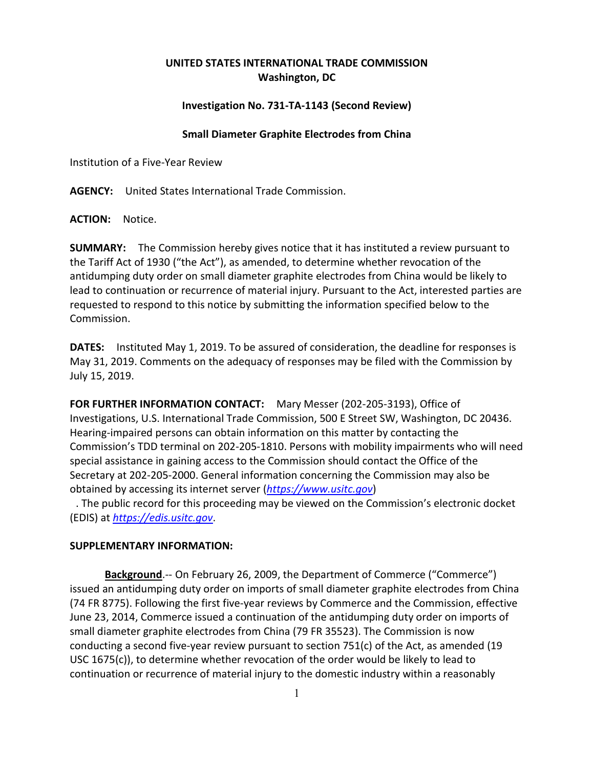## **UNITED STATES INTERNATIONAL TRADE COMMISSION Washington, DC**

## **Investigation No. 731-TA-1143 (Second Review)**

## **Small Diameter Graphite Electrodes from China**

Institution of a Five-Year Review

**AGENCY:** United States International Trade Commission.

**ACTION:** Notice.

**SUMMARY:** The Commission hereby gives notice that it has instituted a review pursuant to the Tariff Act of 1930 ("the Act"), as amended, to determine whether revocation of the antidumping duty order on small diameter graphite electrodes from China would be likely to lead to continuation or recurrence of material injury. Pursuant to the Act, interested parties are requested to respond to this notice by submitting the information specified below to the Commission.

**DATES:** Instituted May 1, 2019. To be assured of consideration, the deadline for responses is May 31, 2019. Comments on the adequacy of responses may be filed with the Commission by July 15, 2019.

**FOR FURTHER INFORMATION CONTACT:** Mary Messer (202-205-3193), Office of Investigations, U.S. International Trade Commission, 500 E Street SW, Washington, DC 20436. Hearing-impaired persons can obtain information on this matter by contacting the Commission's TDD terminal on 202-205-1810. Persons with mobility impairments who will need special assistance in gaining access to the Commission should contact the Office of the Secretary at 202-205-2000. General information concerning the Commission may also be obtained by accessing its internet server (*[https://www.usitc.gov](https://www.usitc.gov/)*)

. The public record for this proceeding may be viewed on the Commission's electronic docket (EDIS) at *[https://edis.usitc.gov](https://edis.usitc.gov/)*.

## **SUPPLEMENTARY INFORMATION:**

**Background**.-- On February 26, 2009, the Department of Commerce ("Commerce") issued an antidumping duty order on imports of small diameter graphite electrodes from China (74 FR 8775). Following the first five-year reviews by Commerce and the Commission, effective June 23, 2014, Commerce issued a continuation of the antidumping duty order on imports of small diameter graphite electrodes from China (79 FR 35523). The Commission is now conducting a second five-year review pursuant to section 751(c) of the Act, as amended (19 USC 1675(c)), to determine whether revocation of the order would be likely to lead to continuation or recurrence of material injury to the domestic industry within a reasonably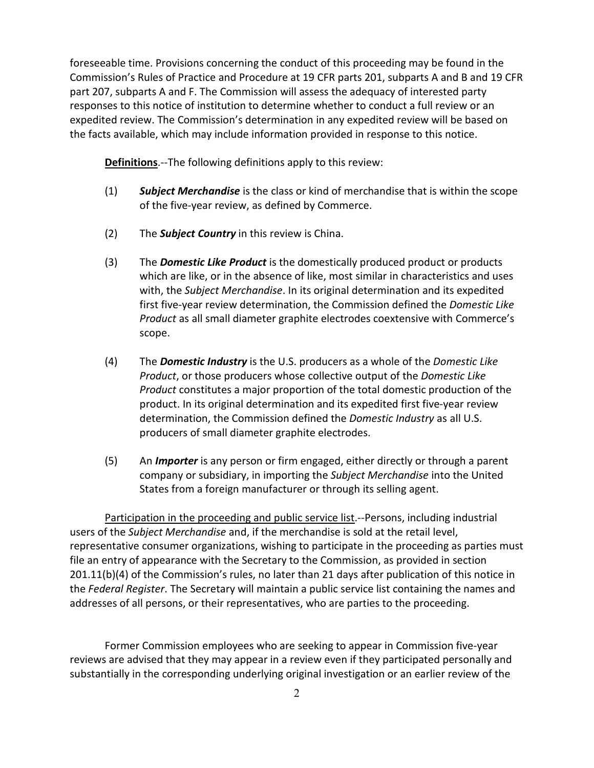foreseeable time. Provisions concerning the conduct of this proceeding may be found in the Commission's Rules of Practice and Procedure at 19 CFR parts 201, subparts A and B and 19 CFR part 207, subparts A and F. The Commission will assess the adequacy of interested party responses to this notice of institution to determine whether to conduct a full review or an expedited review. The Commission's determination in any expedited review will be based on the facts available, which may include information provided in response to this notice.

**Definitions**.--The following definitions apply to this review:

- (1) *Subject Merchandise* is the class or kind of merchandise that is within the scope of the five-year review, as defined by Commerce.
- (2) The *Subject Country* in this review is China.
- (3) The *Domestic Like Product* is the domestically produced product or products which are like, or in the absence of like, most similar in characteristics and uses with, the *Subject Merchandise*. In its original determination and its expedited first five-year review determination, the Commission defined the *Domestic Like Product* as all small diameter graphite electrodes coextensive with Commerce's scope.
- (4) The *Domestic Industry* is the U.S. producers as a whole of the *Domestic Like Product*, or those producers whose collective output of the *Domestic Like Product* constitutes a major proportion of the total domestic production of the product. In its original determination and its expedited first five-year review determination, the Commission defined the *Domestic Industry* as all U.S. producers of small diameter graphite electrodes.
- (5) An *Importer* is any person or firm engaged, either directly or through a parent company or subsidiary, in importing the *Subject Merchandise* into the United States from a foreign manufacturer or through its selling agent.

Participation in the proceeding and public service list.--Persons, including industrial users of the *Subject Merchandise* and, if the merchandise is sold at the retail level, representative consumer organizations, wishing to participate in the proceeding as parties must file an entry of appearance with the Secretary to the Commission, as provided in section 201.11(b)(4) of the Commission's rules, no later than 21 days after publication of this notice in the *Federal Register*. The Secretary will maintain a public service list containing the names and addresses of all persons, or their representatives, who are parties to the proceeding.

Former Commission employees who are seeking to appear in Commission five-year reviews are advised that they may appear in a review even if they participated personally and substantially in the corresponding underlying original investigation or an earlier review of the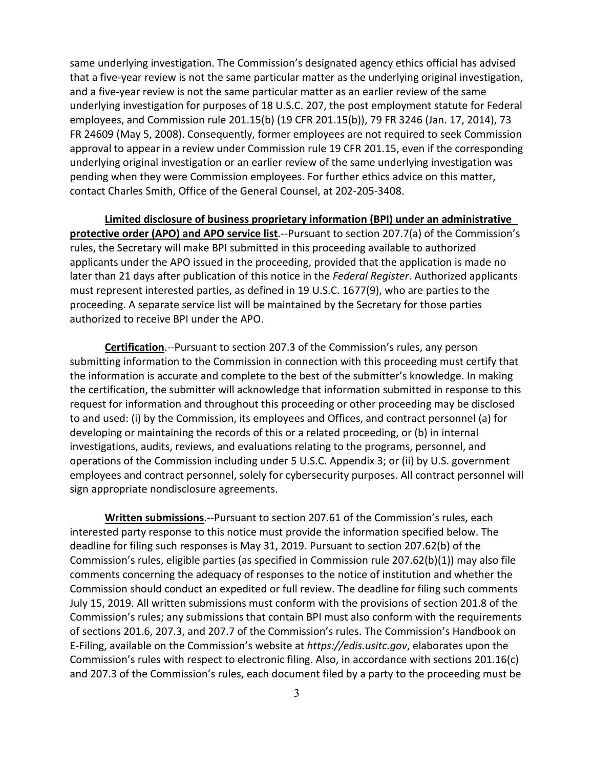same underlying investigation. The Commission's designated agency ethics official has advised that a five-year review is not the same particular matter as the underlying original investigation, and a five-year review is not the same particular matter as an earlier review of the same underlying investigation for purposes of 18 U.S.C. 207, the post employment statute for Federal employees, and Commission rule 201.15(b) (19 CFR 201.15(b)), 79 FR 3246 (Jan. 17, 2014), 73 FR 24609 (May 5, 2008). Consequently, former employees are not required to seek Commission approval to appear in a review under Commission rule 19 CFR 201.15, even if the corresponding underlying original investigation or an earlier review of the same underlying investigation was pending when they were Commission employees. For further ethics advice on this matter, contact Charles Smith, Office of the General Counsel, at 202-205-3408.

**Limited disclosure of business proprietary information (BPI) under an administrative protective order (APO) and APO service list**.--Pursuant to section 207.7(a) of the Commission's rules, the Secretary will make BPI submitted in this proceeding available to authorized applicants under the APO issued in the proceeding, provided that the application is made no later than 21 days after publication of this notice in the *Federal Register*. Authorized applicants must represent interested parties, as defined in 19 U.S.C. 1677(9), who are parties to the proceeding. A separate service list will be maintained by the Secretary for those parties authorized to receive BPI under the APO.

**Certification**.--Pursuant to section 207.3 of the Commission's rules, any person submitting information to the Commission in connection with this proceeding must certify that the information is accurate and complete to the best of the submitter's knowledge. In making the certification, the submitter will acknowledge that information submitted in response to this request for information and throughout this proceeding or other proceeding may be disclosed to and used: (i) by the Commission, its employees and Offices, and contract personnel (a) for developing or maintaining the records of this or a related proceeding, or (b) in internal investigations, audits, reviews, and evaluations relating to the programs, personnel, and operations of the Commission including under 5 U.S.C. Appendix 3; or (ii) by U.S. government employees and contract personnel, solely for cybersecurity purposes. All contract personnel will sign appropriate nondisclosure agreements.

**Written submissions**.--Pursuant to section 207.61 of the Commission's rules, each interested party response to this notice must provide the information specified below. The deadline for filing such responses is May 31, 2019. Pursuant to section 207.62(b) of the Commission's rules, eligible parties (as specified in Commission rule 207.62(b)(1)) may also file comments concerning the adequacy of responses to the notice of institution and whether the Commission should conduct an expedited or full review. The deadline for filing such comments July 15, 2019. All written submissions must conform with the provisions of section 201.8 of the Commission's rules; any submissions that contain BPI must also conform with the requirements of sections 201.6, 207.3, and 207.7 of the Commission's rules. The Commission's Handbook on E-Filing, available on the Commission's website at *https://edis.usitc.gov*, elaborates upon the Commission's rules with respect to electronic filing. Also, in accordance with sections 201.16(c) and 207.3 of the Commission's rules, each document filed by a party to the proceeding must be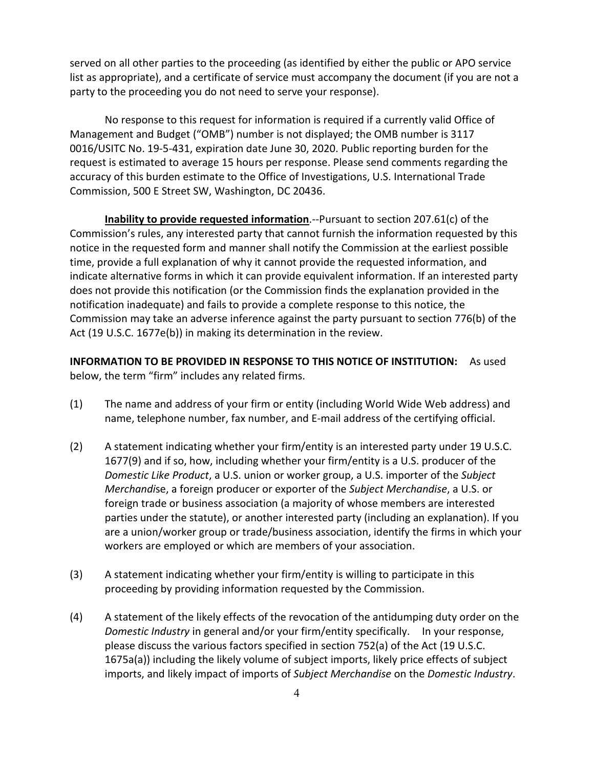served on all other parties to the proceeding (as identified by either the public or APO service list as appropriate), and a certificate of service must accompany the document (if you are not a party to the proceeding you do not need to serve your response).

No response to this request for information is required if a currently valid Office of Management and Budget ("OMB") number is not displayed; the OMB number is 3117 0016/USITC No. 19-5-431, expiration date June 30, 2020. Public reporting burden for the request is estimated to average 15 hours per response. Please send comments regarding the accuracy of this burden estimate to the Office of Investigations, U.S. International Trade Commission, 500 E Street SW, Washington, DC 20436.

**Inability to provide requested information**.--Pursuant to section 207.61(c) of the Commission's rules, any interested party that cannot furnish the information requested by this notice in the requested form and manner shall notify the Commission at the earliest possible time, provide a full explanation of why it cannot provide the requested information, and indicate alternative forms in which it can provide equivalent information. If an interested party does not provide this notification (or the Commission finds the explanation provided in the notification inadequate) and fails to provide a complete response to this notice, the Commission may take an adverse inference against the party pursuant to section 776(b) of the Act (19 U.S.C. 1677e(b)) in making its determination in the review.

**INFORMATION TO BE PROVIDED IN RESPONSE TO THIS NOTICE OF INSTITUTION:** As used below, the term "firm" includes any related firms.

- (1) The name and address of your firm or entity (including World Wide Web address) and name, telephone number, fax number, and E-mail address of the certifying official.
- (2) A statement indicating whether your firm/entity is an interested party under 19 U.S.C. 1677(9) and if so, how, including whether your firm/entity is a U.S. producer of the *Domestic Like Product*, a U.S. union or worker group, a U.S. importer of the *Subject Merchandi*se, a foreign producer or exporter of the *Subject Merchandise*, a U.S. or foreign trade or business association (a majority of whose members are interested parties under the statute), or another interested party (including an explanation). If you are a union/worker group or trade/business association, identify the firms in which your workers are employed or which are members of your association.
- (3) A statement indicating whether your firm/entity is willing to participate in this proceeding by providing information requested by the Commission.
- (4) A statement of the likely effects of the revocation of the antidumping duty order on the *Domestic Industry* in general and/or your firm/entity specifically. In your response, please discuss the various factors specified in section 752(a) of the Act (19 U.S.C. 1675a(a)) including the likely volume of subject imports, likely price effects of subject imports, and likely impact of imports of *Subject Merchandise* on the *Domestic Industry*.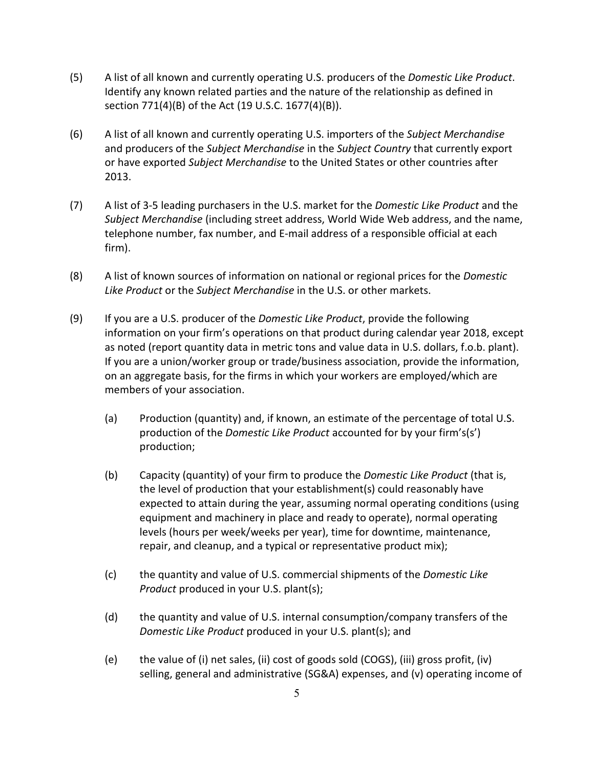- (5) A list of all known and currently operating U.S. producers of the *Domestic Like Product*. Identify any known related parties and the nature of the relationship as defined in section 771(4)(B) of the Act (19 U.S.C. 1677(4)(B)).
- (6) A list of all known and currently operating U.S. importers of the *Subject Merchandise* and producers of the *Subject Merchandise* in the *Subject Country* that currently export or have exported *Subject Merchandise* to the United States or other countries after 2013.
- (7) A list of 3-5 leading purchasers in the U.S. market for the *Domestic Like Product* and the *Subject Merchandise* (including street address, World Wide Web address, and the name, telephone number, fax number, and E-mail address of a responsible official at each firm).
- (8) A list of known sources of information on national or regional prices for the *Domestic Like Product* or the *Subject Merchandise* in the U.S. or other markets.
- (9) If you are a U.S. producer of the *Domestic Like Product*, provide the following information on your firm's operations on that product during calendar year 2018, except as noted (report quantity data in metric tons and value data in U.S. dollars, f.o.b. plant). If you are a union/worker group or trade/business association, provide the information, on an aggregate basis, for the firms in which your workers are employed/which are members of your association.
	- (a) Production (quantity) and, if known, an estimate of the percentage of total U.S. production of the *Domestic Like Product* accounted for by your firm's(s') production;
	- (b) Capacity (quantity) of your firm to produce the *Domestic Like Product* (that is, the level of production that your establishment(s) could reasonably have expected to attain during the year, assuming normal operating conditions (using equipment and machinery in place and ready to operate), normal operating levels (hours per week/weeks per year), time for downtime, maintenance, repair, and cleanup, and a typical or representative product mix);
	- (c) the quantity and value of U.S. commercial shipments of the *Domestic Like Product* produced in your U.S. plant(s);
	- (d) the quantity and value of U.S. internal consumption/company transfers of the *Domestic Like Product* produced in your U.S. plant(s); and
	- (e) the value of (i) net sales, (ii) cost of goods sold (COGS), (iii) gross profit, (iv) selling, general and administrative (SG&A) expenses, and (v) operating income of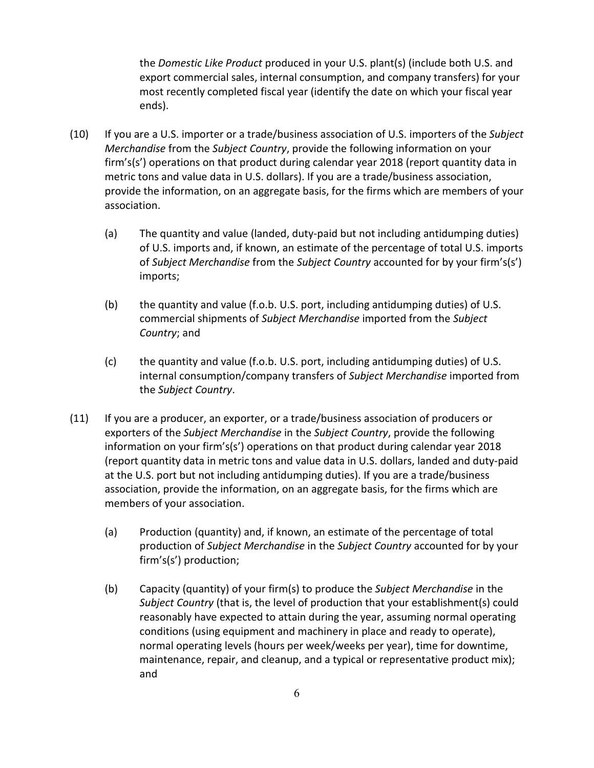the *Domestic Like Product* produced in your U.S. plant(s) (include both U.S. and export commercial sales, internal consumption, and company transfers) for your most recently completed fiscal year (identify the date on which your fiscal year ends).

- (10) If you are a U.S. importer or a trade/business association of U.S. importers of the *Subject Merchandise* from the *Subject Country*, provide the following information on your firm's(s') operations on that product during calendar year 2018 (report quantity data in metric tons and value data in U.S. dollars). If you are a trade/business association, provide the information, on an aggregate basis, for the firms which are members of your association.
	- (a) The quantity and value (landed, duty-paid but not including antidumping duties) of U.S. imports and, if known, an estimate of the percentage of total U.S. imports of *Subject Merchandise* from the *Subject Country* accounted for by your firm's(s') imports;
	- (b) the quantity and value (f.o.b. U.S. port, including antidumping duties) of U.S. commercial shipments of *Subject Merchandise* imported from the *Subject Country*; and
	- (c) the quantity and value (f.o.b. U.S. port, including antidumping duties) of U.S. internal consumption/company transfers of *Subject Merchandise* imported from the *Subject Country*.
- (11) If you are a producer, an exporter, or a trade/business association of producers or exporters of the *Subject Merchandise* in the *Subject Country*, provide the following information on your firm's(s') operations on that product during calendar year 2018 (report quantity data in metric tons and value data in U.S. dollars, landed and duty-paid at the U.S. port but not including antidumping duties). If you are a trade/business association, provide the information, on an aggregate basis, for the firms which are members of your association.
	- (a) Production (quantity) and, if known, an estimate of the percentage of total production of *Subject Merchandise* in the *Subject Country* accounted for by your firm's(s') production;
	- (b) Capacity (quantity) of your firm(s) to produce the *Subject Merchandise* in the *Subject Country* (that is, the level of production that your establishment(s) could reasonably have expected to attain during the year, assuming normal operating conditions (using equipment and machinery in place and ready to operate), normal operating levels (hours per week/weeks per year), time for downtime, maintenance, repair, and cleanup, and a typical or representative product mix); and